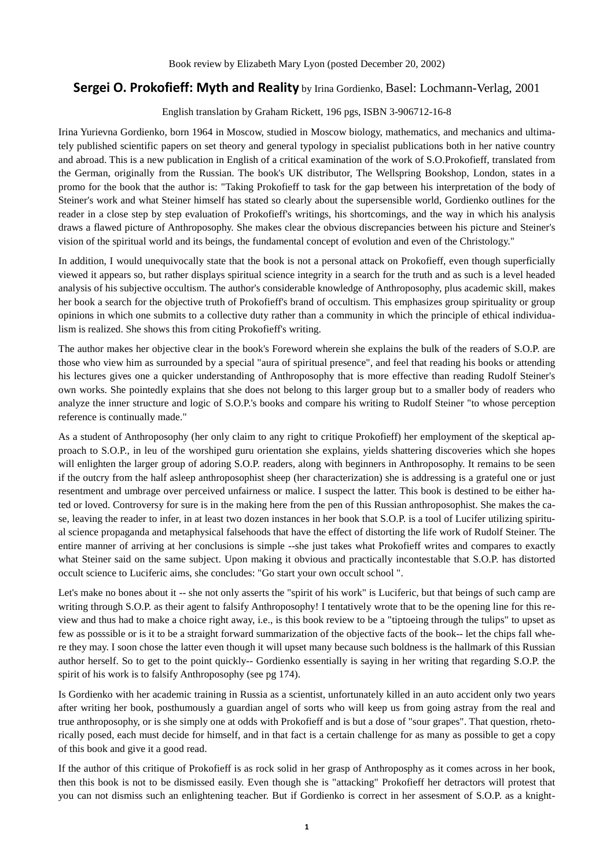## **Sergei O. Prokofieff: Myth and Reality** by Irina Gordienko, Basel: Lochmann-Verlag, 2001

English translation by Graham Rickett, 196 pgs, ISBN 3-906712-16-8

Irina Yurievna Gordienko, born 1964 in Moscow, studied in Moscow biology, mathematics, and mechanics and ultimately published scientific papers on set theory and general typology in specialist publications both in her native country and abroad. This is a new publication in English of a critical examination of the work of S.O.Prokofieff, translated from the German, originally from the Russian. The book's UK distributor, The Wellspring Bookshop, London, states in a promo for the book that the author is: "Taking Prokofieff to task for the gap between his interpretation of the body of Steiner's work and what Steiner himself has stated so clearly about the supersensible world, Gordienko outlines for the reader in a close step by step evaluation of Prokofieff's writings, his shortcomings, and the way in which his analysis draws a flawed picture of Anthroposophy. She makes clear the obvious discrepancies between his picture and Steiner's vision of the spiritual world and its beings, the fundamental concept of evolution and even of the Christology."

In addition, I would unequivocally state that the book is not a personal attack on Prokofieff, even though superficially viewed it appears so, but rather displays spiritual science integrity in a search for the truth and as such is a level headed analysis of his subjective occultism. The author's considerable knowledge of Anthroposophy, plus academic skill, makes her book a search for the objective truth of Prokofieff's brand of occultism. This emphasizes group spirituality or group opinions in which one submits to a collective duty rather than a community in which the principle of ethical individualism is realized. She shows this from citing Prokofieff's writing.

The author makes her objective clear in the book's Foreword wherein she explains the bulk of the readers of S.O.P. are those who view him as surrounded by a special "aura of spiritual presence", and feel that reading his books or attending his lectures gives one a quicker understanding of Anthroposophy that is more effective than reading Rudolf Steiner's own works. She pointedly explains that she does not belong to this larger group but to a smaller body of readers who analyze the inner structure and logic of S.O.P.'s books and compare his writing to Rudolf Steiner "to whose perception reference is continually made."

As a student of Anthroposophy (her only claim to any right to critique Prokofieff) her employment of the skeptical approach to S.O.P., in leu of the worshiped guru orientation she explains, yields shattering discoveries which she hopes will enlighten the larger group of adoring S.O.P. readers, along with beginners in Anthroposophy. It remains to be seen if the outcry from the half asleep anthroposophist sheep (her characterization) she is addressing is a grateful one or just resentment and umbrage over perceived unfairness or malice. I suspect the latter. This book is destined to be either hated or loved. Controversy for sure is in the making here from the pen of this Russian anthroposophist. She makes the case, leaving the reader to infer, in at least two dozen instances in her book that S.O.P. is a tool of Lucifer utilizing spiritual science propaganda and metaphysical falsehoods that have the effect of distorting the life work of Rudolf Steiner. The entire manner of arriving at her conclusions is simple --she just takes what Prokofieff writes and compares to exactly what Steiner said on the same subject. Upon making it obvious and practically incontestable that S.O.P. has distorted occult science to Luciferic aims, she concludes: "Go start your own occult school ".

Let's make no bones about it -- she not only asserts the "spirit of his work" is Luciferic, but that beings of such camp are writing through S.O.P. as their agent to falsify Anthroposophy! I tentatively wrote that to be the opening line for this review and thus had to make a choice right away, i.e., is this book review to be a "tiptoeing through the tulips" to upset as few as posssible or is it to be a straight forward summarization of the objective facts of the book-- let the chips fall where they may. I soon chose the latter even though it will upset many because such boldness is the hallmark of this Russian author herself. So to get to the point quickly-- Gordienko essentially is saying in her writing that regarding S.O.P. the spirit of his work is to falsify Anthroposophy (see pg 174).

Is Gordienko with her academic training in Russia as a scientist, unfortunately killed in an auto accident only two years after writing her book, posthumously a guardian angel of sorts who will keep us from going astray from the real and true anthroposophy, or is she simply one at odds with Prokofieff and is but a dose of "sour grapes". That question, rhetorically posed, each must decide for himself, and in that fact is a certain challenge for as many as possible to get a copy of this book and give it a good read.

If the author of this critique of Prokofieff is as rock solid in her grasp of Anthroposphy as it comes across in her book, then this book is not to be dismissed easily. Even though she is "attacking" Prokofieff her detractors will protest that you can not dismiss such an enlightening teacher. But if Gordienko is correct in her assesment of S.O.P. as a knight-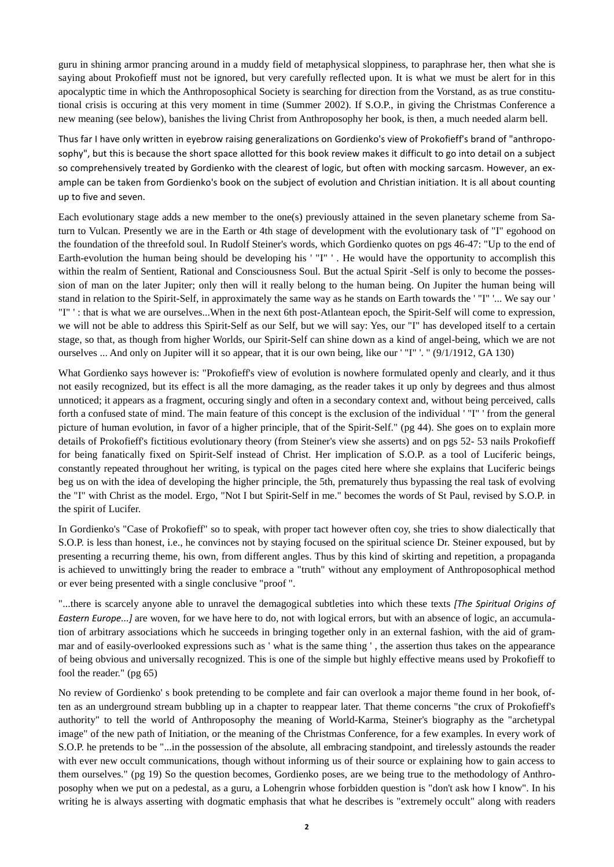guru in shining armor prancing around in a muddy field of metaphysical sloppiness, to paraphrase her, then what she is saying about Prokofieff must not be ignored, but very carefully reflected upon. It is what we must be alert for in this apocalyptic time in which the Anthroposophical Society is searching for direction from the Vorstand, as as true constitutional crisis is occuring at this very moment in time (Summer 2002). If S.O.P., in giving the Christmas Conference a new meaning (see below), banishes the living Christ from Anthroposophy her book, is then, a much needed alarm bell.

Thus far I have only written in eyebrow raising generalizations on Gordienko's view of Prokofieff's brand of "anthroposophy", but this is because the short space allotted for this book review makes it difficult to go into detail on a subject so comprehensively treated by Gordienko with the clearest of logic, but often with mocking sarcasm. However, an example can be taken from Gordienko's book on the subject of evolution and Christian initiation. It is all about counting up to five and seven.

Each evolutionary stage adds a new member to the one(s) previously attained in the seven planetary scheme from Saturn to Vulcan. Presently we are in the Earth or 4th stage of development with the evolutionary task of "I" egohood on the foundation of the threefold soul. In Rudolf Steiner's words, which Gordienko quotes on pgs 46-47: "Up to the end of Earth-evolution the human being should be developing his ' "I" ' . He would have the opportunity to accomplish this within the realm of Sentient, Rational and Consciousness Soul. But the actual Spirit -Self is only to become the possession of man on the later Jupiter; only then will it really belong to the human being. On Jupiter the human being will stand in relation to the Spirit-Self, in approximately the same way as he stands on Earth towards the ' "I" '... We say our ' "I" ' : that is what we are ourselves...When in the next 6th post-Atlantean epoch, the Spirit-Self will come to expression, we will not be able to address this Spirit-Self as our Self, but we will say: Yes, our "I" has developed itself to a certain stage, so that, as though from higher Worlds, our Spirit-Self can shine down as a kind of angel-being, which we are not ourselves ... And only on Jupiter will it so appear, that it is our own being, like our ' "I" '. " (9/1/1912, GA 130)

What Gordienko says however is: "Prokofieff's view of evolution is nowhere formulated openly and clearly, and it thus not easily recognized, but its effect is all the more damaging, as the reader takes it up only by degrees and thus almost unnoticed; it appears as a fragment, occuring singly and often in a secondary context and, without being perceived, calls forth a confused state of mind. The main feature of this concept is the exclusion of the individual ' "I" ' from the general picture of human evolution, in favor of a higher principle, that of the Spirit-Self." (pg 44). She goes on to explain more details of Prokofieff's fictitious evolutionary theory (from Steiner's view she asserts) and on pgs 52- 53 nails Prokofieff for being fanatically fixed on Spirit-Self instead of Christ. Her implication of S.O.P. as a tool of Luciferic beings, constantly repeated throughout her writing, is typical on the pages cited here where she explains that Luciferic beings beg us on with the idea of developing the higher principle, the 5th, prematurely thus bypassing the real task of evolving the "I" with Christ as the model. Ergo, "Not I but Spirit-Self in me." becomes the words of St Paul, revised by S.O.P. in the spirit of Lucifer.

In Gordienko's "Case of Prokofieff" so to speak, with proper tact however often coy, she tries to show dialectically that S.O.P. is less than honest, i.e., he convinces not by staying focused on the spiritual science Dr. Steiner expoused, but by presenting a recurring theme, his own, from different angles. Thus by this kind of skirting and repetition, a propaganda is achieved to unwittingly bring the reader to embrace a "truth" without any employment of Anthroposophical method or ever being presented with a single conclusive "proof ".

"...there is scarcely anyone able to unravel the demagogical subtleties into which these texts *[The Spiritual Origins of Eastern Europe...]* are woven, for we have here to do, not with logical errors, but with an absence of logic, an accumulation of arbitrary associations which he succeeds in bringing together only in an external fashion, with the aid of grammar and of easily-overlooked expressions such as ' what is the same thing ' , the assertion thus takes on the appearance of being obvious and universally recognized. This is one of the simple but highly effective means used by Prokofieff to fool the reader." (pg 65)

No review of Gordienko' s book pretending to be complete and fair can overlook a major theme found in her book, often as an underground stream bubbling up in a chapter to reappear later. That theme concerns "the crux of Prokofieff's authority" to tell the world of Anthroposophy the meaning of World-Karma, Steiner's biography as the "archetypal image" of the new path of Initiation, or the meaning of the Christmas Conference, for a few examples. In every work of S.O.P. he pretends to be "...in the possession of the absolute, all embracing standpoint, and tirelessly astounds the reader with ever new occult communications, though without informing us of their source or explaining how to gain access to them ourselves." (pg 19) So the question becomes, Gordienko poses, are we being true to the methodology of Anthroposophy when we put on a pedestal, as a guru, a Lohengrin whose forbidden question is "don't ask how I know". In his writing he is always asserting with dogmatic emphasis that what he describes is "extremely occult" along with readers